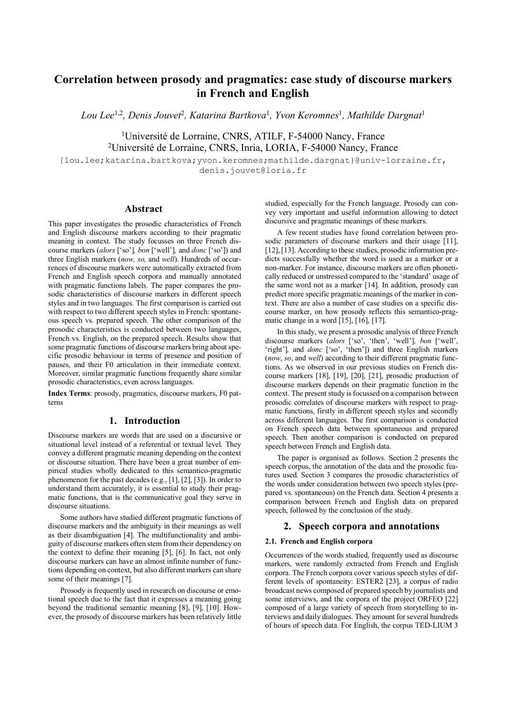# **Correlation between prosody and pragmatics: case study of discourse markers in French and English**

*Lou Lee*1,2*, Denis Jouvet*<sup>2</sup>*, Katarina Bartkova*<sup>1</sup>*, Yvon Keromnes*<sup>1</sup>*, Mathilde Dargnat*<sup>1</sup>

<sup>1</sup>Université de Lorraine, CNRS, ATILF, F-54000 Nancy, France 2 Université de Lorraine, CNRS, Inria, LORIA, F-54000 Nancy, France

{lou.lee;katarina.bartkova;yvon.keromnes;mathilde.dargnat}@univ-lorraine.fr, denis.jouvet@loria.fr

# **Abstract**

This paper investigates the prosodic characteristics of French and English discourse markers according to their pragmatic meaning in context. The study focusses on three French discourse markers (*alors* ['so']*, bon* ['well']*,* and *donc* ['so']) and three English markers (*now, so,* and *well*). Hundreds of occurrences of discourse markers were automatically extracted from French and English speech corpora and manually annotated with pragmatic functions labels. The paper compares the prosodic characteristics of discourse markers in different speech styles and in two languages. The first comparison is carried out with respect to two different speech styles in French: spontaneous speech vs. prepared speech. The other comparison of the prosodic characteristics is conducted between two languages, French vs. English, on the prepared speech. Results show that some pragmatic functions of discourse markers bring about specific prosodic behaviour in terms of presence and position of pauses, and their F0 articulation in their immediate context. Moreover, similar pragmatic functions frequently share similar prosodic characteristics, even across languages.

**Index Terms**: prosody, pragmatics, discourse markers, F0 patterns

## **1. Introduction**

Discourse markers are words that are used on a discursive or situational level instead of a referential or textual level. They convey a different pragmatic meaning depending on the context or discourse situation. There have been a great number of empirical studies wholly dedicated to this semantico-pragmatic phenomenon for the past decades (e.g., [1], [2], [3]). In order to understand them accurately, it is essential to study their pragmatic functions, that is the communicative goal they serve in discourse situations.

Some authors have studied different pragmatic functions of discourse markers and the ambiguity in their meanings as well as their disambiguation [4]. The multifunctionality and ambiguity of discourse markers often stem from their dependency on the context to define their meaning [5], [6]. In fact, not only discourse markers can have an almost infinite number of functions depending on context, but also different markers can share some of their meanings [7].

Prosody is frequently used in research on discourse or emotional speech due to the fact that it expresses a meaning going beyond the traditional semantic meaning [8], [9], [10]. However, the prosody of discourse markers has been relatively little studied, especially for the French language. Prosody can convey very important and useful information allowing to detect discursive and pragmatic meanings of these markers.

A few recent studies have found correlation between prosodic parameters of discourse markers and their usage [11]. [12], [13]. According to these studies, prosodic information predicts successfully whether the word is used as a marker or a non-marker. For instance, discourse markers are often phonetically reduced or unstressed compared to the 'standard' usage of the same word not as a marker [14]. In addition, prosody can predict more specific pragmatic meanings of the marker in context. There are also a number of case studies on a specific discourse marker, on how prosody reflects this semantico-pragmatic change in a word  $[15]$ ,  $[16]$ ,  $[17]$ .

In this study, we present a prosodic analysis of three French discourse markers (*alors* ['so', 'then', 'well']*, bon* ['well', 'right']*,* and *donc* ['so', 'then']) and three English markers (*now*, *so*, and *well*) according to their different pragmatic functions. As we observed in our previous studies on French discourse markers [18], [19], [20], [21], prosodic production of discourse markers depends on their pragmatic function in the context. The present study is focussed on a comparison between prosodic correlates of discourse markers with respect to pragmatic functions, firstly in different speech styles and secondly across different languages. The first comparison is conducted on French speech data between spontaneous and prepared speech. Then another comparison is conducted on prepared speech between French and English data.

The paper is organised as follows. Section 2 presents the speech corpus, the annotation of the data and the prosodic features used. Section 3 compares the prosodic characteristics of the words under consideration between two speech styles (prepared vs. spontaneous) on the French data. Section 4 presents a comparison between French and English data on prepared speech, followed by the conclusion of the study.

# **2. Speech corpora and annotations**

#### **2.1. French and English corpora**

Occurrences of the words studied, frequently used as discourse markers, were randomly extracted from French and English corpora. The French corpora cover various speech styles of different levels of spontaneity: ESTER2 [23], a corpus of radio broadcast news composed of prepared speech by journalists and some interviews, and the corpora of the project ORFEO [22] composed of a large variety of speech from storytelling to interviews and daily dialogues. They amount forseveral hundreds of hours of speech data. For English, the corpus TED-LIUM 3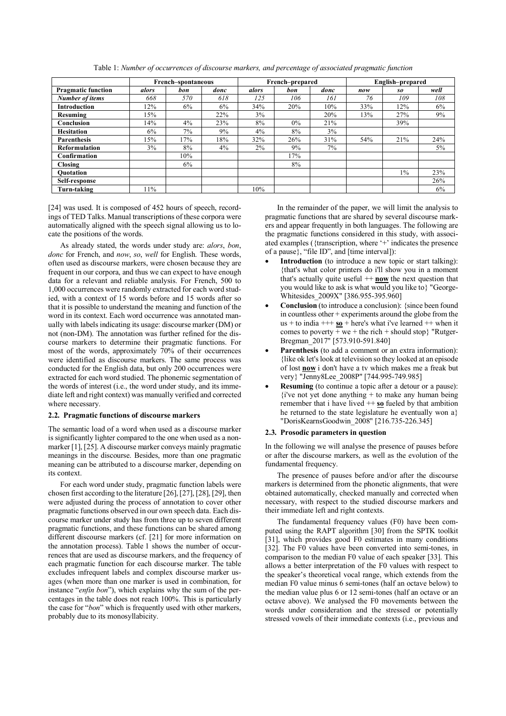|                           | French-spontaneous |     |       |       | French-prepared |      | English-prepared |       |      |  |
|---------------------------|--------------------|-----|-------|-------|-----------------|------|------------------|-------|------|--|
| <b>Pragmatic function</b> | alors              | bon | donc  | alors | bon             | donc | now              | so    | well |  |
| <b>Number of items</b>    | 668                | 570 | 618   | 125   | 106             | 161  | 76               | 109   | 108  |  |
| <b>Introduction</b>       | 12%                | 6%  | 6%    | 34%   | 20%             | 10%  | 33%              | 12%   | 6%   |  |
| <b>Resuming</b>           | 15%                |     | 22%   | 3%    |                 | 20%  | 13%              | 27%   | 9%   |  |
| Conclusion                | 14%                | 4%  | 23%   | 8%    | $0\%$           | 21%  |                  | 39%   |      |  |
| <b>Hesitation</b>         | 6%                 | 7%  | 9%    | 4%    | 8%              | 3%   |                  |       |      |  |
| <b>Parenthesis</b>        | 15%                | 17% | 18%   | 32%   | 26%             | 31%  | 54%              | 21%   | 24%  |  |
| Reformulation             | 3%                 | 8%  | $4\%$ | 2%    | 9%              | 7%   |                  |       | 5%   |  |
| Confirmation              |                    | 10% |       |       | 17%             |      |                  |       |      |  |
| <b>Closing</b>            |                    | 6%  |       |       | 8%              |      |                  |       |      |  |
| <b>Ouotation</b>          |                    |     |       |       |                 |      |                  | $1\%$ | 23%  |  |
| Self-response             |                    |     |       |       |                 |      |                  |       | 26%  |  |
| Turn-taking               | 11%                |     |       | 10%   |                 |      |                  |       | 6%   |  |

Table 1: *Number of occurrences of discourse markers, and percentage of associated pragmatic function*

[24] was used. It is composed of 452 hours of speech, recordings of TED Talks. Manual transcriptions of these corpora were automatically aligned with the speech signal allowing us to locate the positions of the words.

As already stated, the words under study are: *alors*, *bon*, *donc* for French, and *now*, *so*, *well* for English. These words, often used as discourse markers, were chosen because they are frequent in our corpora, and thus we can expect to have enough data for a relevant and reliable analysis. For French, 500 to 1,000 occurrences were randomly extracted for each word studied, with a context of 15 words before and 15 words after so that it is possible to understand the meaning and function of the word in its context. Each word occurrence was annotated manually with labels indicating its usage: discourse marker (DM) or not (non-DM). The annotation was further refined for the discourse markers to determine their pragmatic functions. For most of the words, approximately  $70\%$  of their occurrences were identified as discourse markers. The same process was conducted for the English data, but only 200 occurrences were extracted for each word studied. The phonemic segmentation of the words of interest (i.e., the word under study, and its immediate left and right context) was manually verified and corrected where necessary.

## **2.2. Pragmatic functions of discourse markers**

The semantic load of a word when used as a discourse marker is significantly lighter compared to the one when used as a nonmarker [1], [25]. A discourse marker conveys mainly pragmatic meanings in the discourse. Besides, more than one pragmatic meaning can be attributed to a discourse marker, depending on its context.

For each word under study, pragmatic function labels were chosen first according to the literature [26], [27], [28], [29], then were adjusted during the process of annotation to cover other pragmatic functions observed in our own speech data. Each discourse marker under study has from three up to seven different pragmatic functions, and these functions can be shared among different discourse markers (cf. [21] for more information on the annotation process). Table 1 shows the number of occurrences that are used as discourse markers, and the frequency of each pragmatic function for each discourse marker. The table excludes infrequent labels and complex discourse marker usages (when more than one marker is used in combination, for instance "*enfin bon*"), which explains why the sum of the percentages in the table does not reach 100%. This is particularly the case for "*bon*" which is frequently used with other markers, probably due to its monosyllabicity.

In the remainder of the paper, we will limit the analysis to pragmatic functions that are shared by several discourse markers and appear frequently in both languages. The following are the pragmatic functions considered in this study, with associated examples ({transcription, where '+' indicates the presence of a pause}, "file ID", and [time interval]):

- **Introduction** (to introduce a new topic or start talking): {that's what color printers do i'll show you in a moment that's actually quite useful ++ **now** the next question that you would like to ask is what would you like to} "George-Whitesides\_2009X" [386.955-395.960]
- **Conclusion** (to introduce a conclusion): {since been found in countless other + experiments around the globe from the us + to india  $++$  so + here's what i've learned  $++$  when it comes to poverty + we + the rich + should stop} "Rutger-Bregman\_2017" [573.910-591.840]
- **Parenthesis** (to add a comment or an extra information): {like ok let's look at television so they looked at an episode of lost **now** i don't have a tv which makes me a freak but very} "Jenny8Lee\_2008P" [744.995-749.985]
- **Resuming** (to continue a topic after a detour or a pause):  ${i'$ ve not yet done anything + to make any human being remember that i have lived  $++$  so fueled by that ambition he returned to the state legislature he eventually won a} "DorisKearnsGoodwin\_2008" [216.735-226.345]

#### **2.3. Prosodic parameters in question**

In the following we will analyse the presence of pauses before or after the discourse markers, as well as the evolution of the fundamental frequency.

The presence of pauses before and/or after the discourse markers is determined from the phonetic alignments, that were obtained automatically, checked manually and corrected when necessary, with respect to the studied discourse markers and their immediate left and right contexts.

The fundamental frequency values (F0) have been computed using the RAPT algorithm [30] from the SPTK toolkit [31], which provides good F0 estimates in many conditions [32]. The F0 values have been converted into semi-tones, in comparison to the median F0 value of each speaker [33]. This allows a better interpretation of the F0 values with respect to the speaker's theoretical vocal range, which extends from the median F0 value minus 6 semi-tones (half an octave below) to the median value plus 6 or 12 semi-tones (half an octave or an octave above). We analysed the F0 movements between the words under consideration and the stressed or potentially stressed vowels of their immediate contexts (i.e., previous and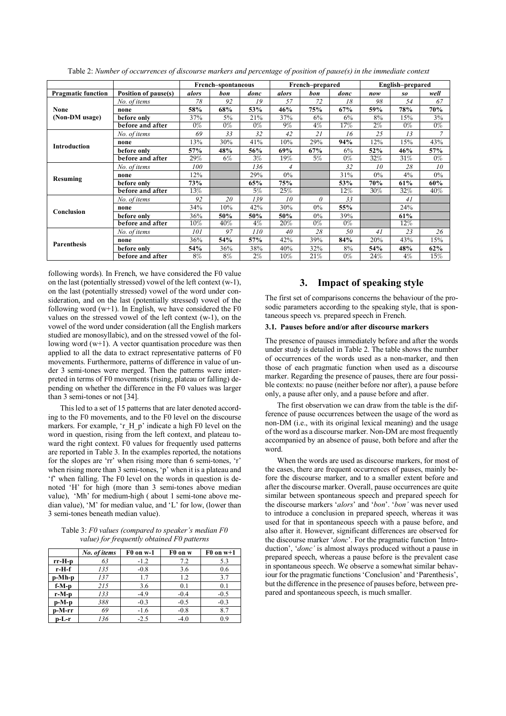|                           |                      |        | French-spontaneous |       |                | French-prepared |       | English-prepared |        |       |
|---------------------------|----------------------|--------|--------------------|-------|----------------|-----------------|-------|------------------|--------|-------|
| <b>Pragmatic function</b> | Position of pause(s) | alors  | bon                | donc  | alors          | bon             | donc  | now              | so     | well  |
|                           | No. of items         | 78     | 92                 | 19    | 57             | 72              | 18    | 98               | 54     | 67    |
| None                      | none                 | 58%    | 68%                | 53%   | 46%            | 75%             | 67%   | 59%              | 78%    | 70%   |
| (Non-DM usage)            | before only          | 37%    | 5%                 | 21%   | 37%            | 6%              | 6%    | 8%               | 15%    | 3%    |
|                           | before and after     | $0\%$  | $0\%$              | $0\%$ | 9%             | $4\%$           | 17%   | $2\%$            | $0\%$  | $0\%$ |
|                           | No. of items         | 69     | 33                 | 32    | 42             | 21              | 16    | 25               | 13     | 7     |
|                           | none                 | 13%    | 30%                | 41%   | 10%            | 29%             | 94%   | 12%              | 15%    | 43%   |
| <b>Introduction</b>       | before only          | 57%    | 48%                | 56%   | 69%            | 67%             | 6%    | 52%              | 46%    | 57%   |
|                           | before and after     | 29%    | 6%                 | $3\%$ | 19%            | 5%              | $0\%$ | 32%              | 31%    | $0\%$ |
|                           | No. of items         | 100    |                    | 136   | $\overline{4}$ |                 | 32    | 10               | 28     | 10    |
| Resuming                  | none                 | 12%    |                    | 29%   | 0%             |                 | 31%   | $0\%$            | 4%     | 0%    |
|                           | before only          | 73%    |                    | 65%   | 75%            |                 | 53%   | 70%              | 61%    | 60%   |
|                           | before and after     | 13%    |                    | 5%    | 25%            |                 | 12%   | 30%              | 32%    | 40%   |
| Conclusion                | No. of items         | 92     | 20                 | 139   | 10             | $\theta$        | 33    |                  | 41     |       |
|                           | none                 | 34%    | 10%                | 42%   | 30%            | 0%              | 55%   |                  | 24%    |       |
|                           | before only          | 36%    | 50%                | 50%   | 50%            | $0\%$           | 39%   |                  | 61%    |       |
|                           | before and after     | $10\%$ | 40%                | $4\%$ | $20\%$         | $0\%$           | $0\%$ |                  | $12\%$ |       |
| <b>Parenthesis</b>        | No. of items         | 101    | 97                 | 110   | 40             | 28              | 50    | 41               | 23     | 26    |
|                           | none                 | 36%    | 54%                | 57%   | 42%            | 39%             | 84%   | 20%              | 43%    | 15%   |
|                           | before only          | 54%    | 36%                | 38%   | 40%            | 32%             | 8%    | 54%              | 48%    | 62%   |
|                           | before and after     | 8%     | 8%                 | $2\%$ | $10\%$         | 21%             | $0\%$ | 24%              | $4\%$  | 15%   |

Table 2: *Number of occurrences of discourse markers and percentage of position of pause(s) in the immediate context*

following words). In French, we have considered the F0 value on the last (potentially stressed) vowel of the left context (w-1), on the last (potentially stressed) vowel of the word under consideration, and on the last (potentially stressed) vowel of the following word  $(w+1)$ . In English, we have considered the F0 values on the stressed vowel of the left context (w-1), on the vowel of the word under consideration (all the English markers studied are monosyllabic), and on the stressed vowel of the following word  $(w+1)$ . A vector quantisation procedure was then applied to all the data to extract representative patterns of F0 movements. Furthermore, patterns of difference in value of under 3 semi-tones were merged. Then the patterns were interpreted in terms of F0 movements (rising, plateau or falling) depending on whether the difference in the F0 values was larger than 3 semi-tones or not [34].

This led to a set of 15 patterns that are later denoted according to the F0 movements, and to the F0 level on the discourse markers. For example, 'r H p' indicate a high F0 level on the word in question, rising from the left context, and plateau toward the right context. F0 values for frequently used patterns are reported in Table 3. In the examples reported, the notations for the slopes are 'rr' when rising more than 6 semi-tones, 'r' when rising more than 3 semi-tones, 'p' when it is a plateau and 'f' when falling. The F0 level on the words in question is denoted 'H' for high (more than 3 semi-tones above median value), 'Mh' for medium-high ( about 1 semi-tone above median value), 'M' for median value, and 'L' for low, (lower than 3 semi-tones beneath median value).

Table 3: *F0 values (compared to speaker's median F0 value) for frequently obtained F0 patterns*

|         | No. of items | F0 on w-1 | F0 on w | $F0$ on $w+1$ |
|---------|--------------|-----------|---------|---------------|
| rr-H-p  | 63           | $-1.2$    | 7.2     | 5.3           |
| r-H-f   | 135          | $-0.8$    | 3.6     | 0.6           |
| p-Mh-p  | 137          | 1.7       | 1.2     | 3.7           |
| $f-M-p$ | 215          | 3.6       | 0.1     | 0.1           |
| r-M-p   | 133          | $-4.9$    | $-0.4$  | $-0.5$        |
| $p-M-p$ | 388          | $-0.3$    | $-0.5$  | $-0.3$        |
| p-M-rr  | 69           | $-1.6$    | $-0.8$  | 8.7           |
| $p-L-r$ | 136          | $-2.5$    | $-4.0$  | 0.9           |

# **3. Impact of speaking style**

The first set of comparisons concerns the behaviour of the prosodic parameters according to the speaking style, that is spontaneous speech vs. prepared speech in French.

## **3.1. Pauses before and/or after discourse markers**

The presence of pauses immediately before and after the words under study is detailed in Table 2. The table shows the number of occurrences of the words used as a non-marker, and then those of each pragmatic function when used as a discourse marker. Regarding the presence of pauses, there are four possible contexts: no pause (neither before nor after), a pause before only, a pause after only, and a pause before and after.

The first observation we can draw from the table is the difference of pause occurrences between the usage of the word as non-DM (i.e., with its original lexical meaning) and the usage of the word as a discourse marker. Non-DM are most frequently accompanied by an absence of pause, both before and after the word.

When the words are used as discourse markers, for most of the cases, there are frequent occurrences of pauses, mainly before the discourse marker, and to a smaller extent before and after the discourse marker. Overall, pause occurrences are quite similar between spontaneous speech and prepared speech for the discourse markers '*alors*' and '*bon*'. '*bon'* was never used to introduce a conclusion in prepared speech, whereas it was used for that in spontaneous speech with a pause before, and also after it. However, significant differences are observed for the discourse marker '*donc*'. For the pragmatic function 'Introduction', '*donc'* is almost always produced without a pause in prepared speech, whereas a pause before is the prevalent case in spontaneous speech. We observe a somewhat similar behaviour for the pragmatic functions 'Conclusion' and 'Parenthesis', but the difference in the presence of pauses before, between prepared and spontaneous speech, is much smaller.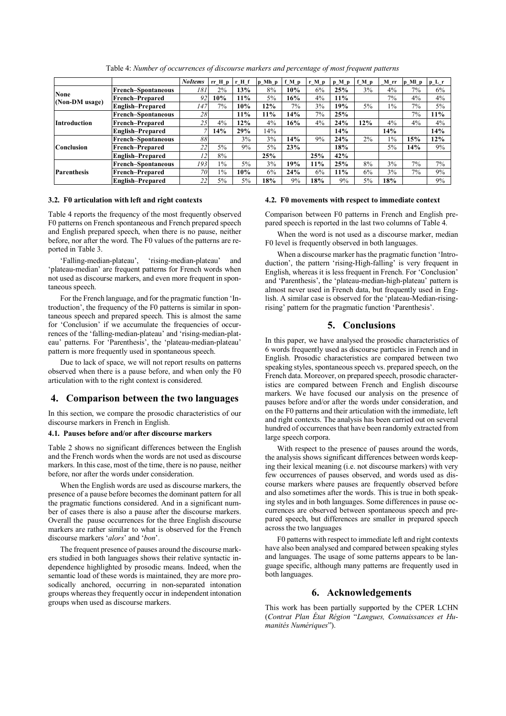|                        |                           | <b>NoItems</b> | $rr_H_p$ | r H f | $p_Mh_p$ | $f_M_p$ | $r_M_p$ | $p_M_p$ | f M p | M rr  | $p_Mp_p$ | $p_L r$ |
|------------------------|---------------------------|----------------|----------|-------|----------|---------|---------|---------|-------|-------|----------|---------|
| None<br>(Non-DM usage) | <b>French-Spontaneous</b> | 181            | $2\%$    | 13%   | 8%       | 10%     | 6%      | 25%     | 3%    | 4%    | $7\%$    | 6%      |
|                        | <b>French-Prepared</b>    | 92             | 10%      | 11%   | 5%       | 16%     | 4%      | 11%     |       | 7%    | 4%       | 4%      |
|                        | <b>English-Prepared</b>   | 147            | $7\%$    | 10%   | 12%      | 7%      | 3%      | 19%     | 5%    | $1\%$ | $7\%$    | 5%      |
| <b>Introduction</b>    | <b>French-Spontaneous</b> | 28             |          | 11%   | 11%      | 14%     | $7\%$   | 25%     |       |       | 7%       | 11%     |
|                        | <b>French-Prepared</b>    | 25             | 4%       | 12%   | 4%       | 16%     | 4%      | 24%     | 12%   | 4%    | 4%       | 4%      |
|                        | <b>English-Prepared</b>   |                | 14%      | 29%   | 14%      |         |         | 14%     |       | 14%   |          | 14%     |
| <b>Conclusion</b>      | <b>French-Spontaneous</b> | 88             |          | 3%    | 3%       | 14%     | 9%      | 24%     | 2%    | $1\%$ | 15%      | 12%     |
|                        | <b>French-Prepared</b>    | $22^{1}$       | 5%       | 9%    | 5%       | 23%     |         | 18%     |       | 5%    | 14%      | 9%      |
|                        | <b>English-Prepared</b>   | 12             | 8%       |       | 25%      |         | 25%     | 42%     |       |       |          |         |
| <b>Parenthesis</b>     | <b>French-Spontaneous</b> | 193            | $1\%$    | $5\%$ | 3%       | 19%     | 11%     | 25%     | 8%    | 3%    | 7%       | 7%      |
|                        | <b>French-Prepared</b>    | 70             | $1\%$    | 10%   | 6%       | 24%     | 6%      | 11%     | 6%    | 3%    | 7%       | 9%      |
|                        | <b>English-Prepared</b>   | 22             | 5%       | 5%    | 18%      | 9%      | 18%     | 9%      | $5\%$ | 18%   |          | 9%      |

Table 4: *Number of occurrences of discourse markers and percentage of most frequent patterns*

#### **3.2. F0 articulation with left and right contexts**

Table 4 reports the frequency of the most frequently observed F0 patterns on French spontaneous and French prepared speech and English prepared speech, when there is no pause, neither before, nor after the word. The F0 values of the patterns are reported in Table 3.

'Falling-median-plateau', 'rising-median-plateau' and 'plateau-median' are frequent patterns for French words when not used as discourse markers, and even more frequent in spontaneous speech.

For the French language, and for the pragmatic function 'Introduction', the frequency of the F0 patterns is similar in spontaneous speech and prepared speech. This is almost the same for 'Conclusion' if we accumulate the frequencies of occurrences of the 'falling-median-plateau' and 'rising-median-plateau' patterns. For 'Parenthesis', the 'plateau-median-plateau' pattern is more frequently used in spontaneous speech.

Due to lack of space, we will not report results on patterns observed when there is a pause before, and when only the F0 articulation with to the right context is considered.

## **4. Comparison between the two languages**

In this section, we compare the prosodic characteristics of our discourse markers in French in English.

#### **4.1. Pauses before and/or after discourse markers**

Table 2 shows no significant differences between the English and the French words when the words are not used as discourse markers. In this case, most of the time, there is no pause, neither before, nor after the words under consideration.

When the English words are used as discourse markers, the presence of a pause before becomes the dominant pattern for all the pragmatic functions considered. And in a significant number of cases there is also a pause after the discourse markers. Overall the pause occurrences for the three English discourse markers are rather similar to what is observed for the French discourse markers '*alors*' and '*bon*'.

The frequent presence of pauses around the discourse markers studied in both languages shows their relative syntactic independence highlighted by prosodic means. Indeed, when the semantic load of these words is maintained, they are more prosodically anchored, occurring in non-separated intonation groups whereas they frequently occur in independent intonation groups when used as discourse markers.

#### **4.2. F0 movements with respect to immediate context**

Comparison between F0 patterns in French and English prepared speech is reported in the last two columns of Table 4.

When the word is not used as a discourse marker, median F0 level is frequently observed in both languages.

When a discourse marker has the pragmatic function 'Introduction', the pattern 'rising-High-falling' is very frequent in English, whereas it is less frequent in French. For 'Conclusion' and 'Parenthesis', the 'plateau-median-high-plateau' pattern is almost never used in French data, but frequently used in English. A similar case is observed for the 'plateau-Median-risingrising' pattern for the pragmatic function 'Parenthesis'.

# **5. Conclusions**

In this paper, we have analysed the prosodic characteristics of 6 words frequently used as discourse particles in French and in English. Prosodic characteristics are compared between two speaking styles, spontaneous speech vs. prepared speech, on the French data. Moreover, on prepared speech, prosodic characteristics are compared between French and English discourse markers. We have focused our analysis on the presence of pauses before and/or after the words under consideration, and on the F0 patterns and their articulation with the immediate, left and right contexts. The analysis has been carried out on several hundred of occurrences that have been randomly extracted from large speech corpora.

With respect to the presence of pauses around the words, the analysis shows significant differences between words keeping their lexical meaning (i.e. not discourse markers) with very few occurrences of pauses observed, and words used as discourse markers where pauses are frequently observed before and also sometimes after the words. This is true in both speaking styles and in both languages. Some differences in pause occurrences are observed between spontaneous speech and prepared speech, but differences are smaller in prepared speech across the two languages

F0 patterns with respect to immediate left and right contexts have also been analysed and compared between speaking styles and languages. The usage of some patterns appears to be language specific, although many patterns are frequently used in both languages.

# **6. Acknowledgements**

This work has been partially supported by the CPER LCHN (*Contrat Plan État Région* "*Langues, Connaissances et Humanités Numériques*").